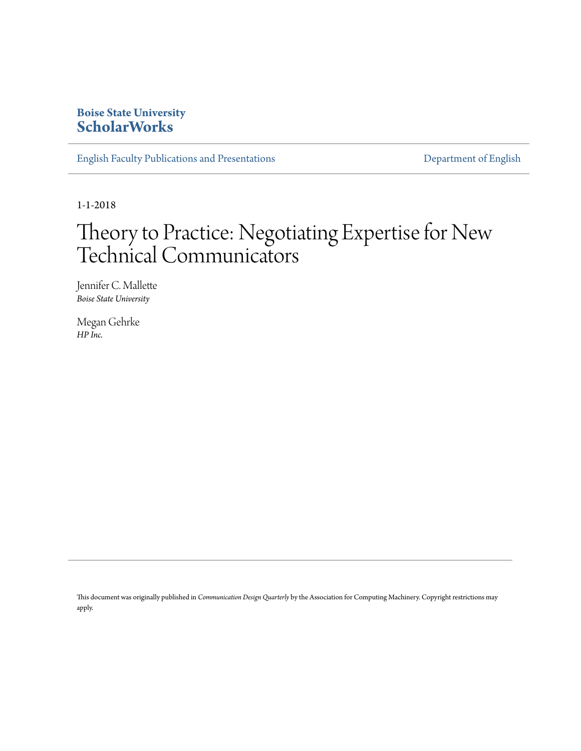# **Boise State University [ScholarWorks](https://scholarworks.boisestate.edu)**

[English Faculty Publications and Presentations](https://scholarworks.boisestate.edu/english_facpubs) **[Department of English](https://scholarworks.boisestate.edu/english)** 

1-1-2018

# Theory to Practice: Negotiating Expertise for New Technical Communicators

Jennifer C. Mallette *Boise State University*

Megan Gehrke *HP Inc.*

This document was originally published in *Communication Design Quarterly* by the Association for Computing Machinery. Copyright restrictions may apply.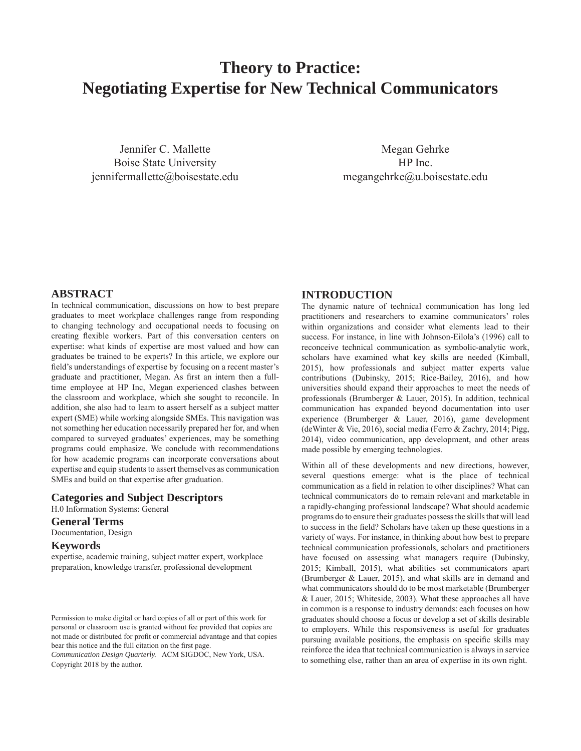# **Theory to Practice: Negotiating Expertise for New Technical Communicators**

Jennifer C. Mallette Boise State University jennifermallette@boisestate.edu

Megan Gehrke HP Inc. megangehrke@u.boisestate.edu

#### **ABSTRACT**

In technical communication, discussions on how to best prepare graduates to meet workplace challenges range from responding to changing technology and occupational needs to focusing on creating flexible workers. Part of this conversation centers on expertise: what kinds of expertise are most valued and how can graduates be trained to be experts? In this article, we explore our field's understandings of expertise by focusing on a recent master's graduate and practitioner, Megan. As first an intern then a fulltime employee at HP Inc, Megan experienced clashes between the classroom and workplace, which she sought to reconcile. In addition, she also had to learn to assert herself as a subject matter expert (SME) while working alongside SMEs. This navigation was not something her education necessarily prepared her for, and when compared to surveyed graduates' experiences, may be something programs could emphasize. We conclude with recommendations for how academic programs can incorporate conversations about expertise and equip students to assert themselves as communication SMEs and build on that expertise after graduation.

#### **Categories and Subject Descriptors**

H.0 Information Systems: General

# **General Terms**

Documentation, Design

#### **Keywords**

expertise, academic training, subject matter expert, workplace preparation, knowledge transfer, professional development

*Communication Design Quarterly.* ACM SIGDOC, New York, USA. Copyright 2018 by the author.

#### **INTRODUCTION**

The dynamic nature of technical communication has long led practitioners and researchers to examine communicators' roles within organizations and consider what elements lead to their success. For instance, in line with Johnson-Eilola's (1996) call to reconceive technical communication as symbolic-analytic work, scholars have examined what key skills are needed (Kimball, 2015), how professionals and subject matter experts value contributions (Dubinsky, 2015; Rice-Bailey, 2016), and how universities should expand their approaches to meet the needs of professionals (Brumberger & Lauer, 2015). In addition, technical communication has expanded beyond documentation into user experience (Brumberger & Lauer, 2016), game development (deWinter & Vie, 2016), social media (Ferro & Zachry, 2014; Pigg, 2014), video communication, app development, and other areas made possible by emerging technologies.

Within all of these developments and new directions, however, several questions emerge: what is the place of technical communication as a field in relation to other disciplines? What can technical communicators do to remain relevant and marketable in a rapidly-changing professional landscape? What should academic programs do to ensure their graduates possess the skills that will lead to success in the field? Scholars have taken up these questions in a variety of ways. For instance, in thinking about how best to prepare technical communication professionals, scholars and practitioners have focused on assessing what managers require (Dubinsky, 2015; Kimball, 2015), what abilities set communicators apart (Brumberger & Lauer, 2015), and what skills are in demand and what communicators should do to be most marketable (Brumberger & Lauer, 2015; Whiteside, 2003). What these approaches all have in common is a response to industry demands: each focuses on how graduates should choose a focus or develop a set of skills desirable to employers. While this responsiveness is useful for graduates pursuing available positions, the emphasis on specific skills may reinforce the idea that technical communication is always in service to something else, rather than an area of expertise in its own right.

Permission to make digital or hard copies of all or part of this work for personal or classroom use is granted without fee provided that copies are not made or distributed for profit or commercial advantage and that copies bear this notice and the full citation on the first page.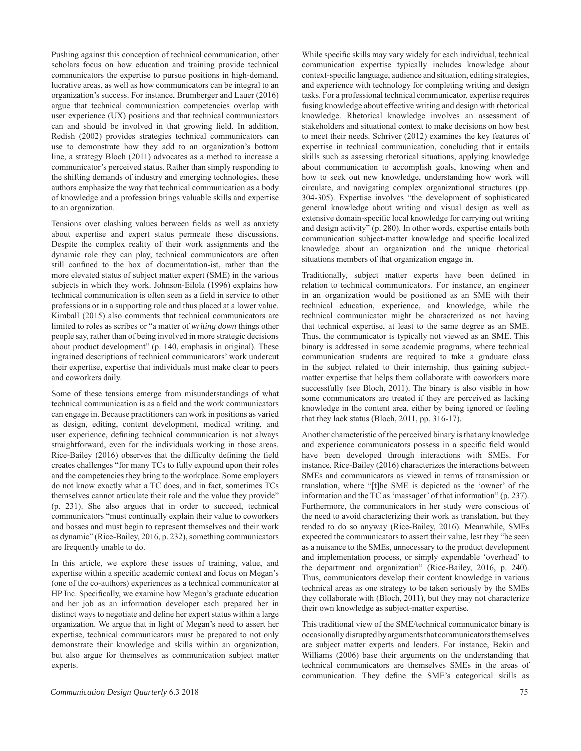Pushing against this conception of technical communication, other scholars focus on how education and training provide technical communicators the expertise to pursue positions in high-demand, lucrative areas, as well as how communicators can be integral to an organization's success. For instance, Brumberger and Lauer (2016) argue that technical communication competencies overlap with user experience (UX) positions and that technical communicators can and should be involved in that growing field. In addition, Redish (2002) provides strategies technical communicators can use to demonstrate how they add to an organization's bottom line, a strategy Bloch (2011) advocates as a method to increase a communicator's perceived status. Rather than simply responding to the shifting demands of industry and emerging technologies, these authors emphasize the way that technical communication as a body of knowledge and a profession brings valuable skills and expertise to an organization.

Tensions over clashing values between fields as well as anxiety about expertise and expert status permeate these discussions. Despite the complex reality of their work assignments and the dynamic role they can play, technical communicators are often still confined to the box of documentation-ist, rather than the more elevated status of subject matter expert (SME) in the various subjects in which they work. Johnson-Eilola (1996) explains how technical communication is often seen as a field in service to other professions or in a supporting role and thus placed at a lower value. Kimball (2015) also comments that technical communicators are limited to roles as scribes or "a matter of *writing down* things other people say, rather than of being involved in more strategic decisions about product development" (p. 140, emphasis in original). These ingrained descriptions of technical communicators' work undercut their expertise, expertise that individuals must make clear to peers and coworkers daily.

Some of these tensions emerge from misunderstandings of what technical communication is as a field and the work communicators can engage in. Because practitioners can work in positions as varied as design, editing, content development, medical writing, and user experience, defining technical communication is not always straightforward, even for the individuals working in those areas. Rice-Bailey (2016) observes that the difficulty defining the field creates challenges "for many TCs to fully expound upon their roles and the competencies they bring to the workplace. Some employers do not know exactly what a TC does, and in fact, sometimes TCs themselves cannot articulate their role and the value they provide" (p. 231). She also argues that in order to succeed, technical communicators "must continually explain their value to coworkers and bosses and must begin to represent themselves and their work as dynamic" (Rice-Bailey, 2016, p. 232), something communicators are frequently unable to do.

In this article, we explore these issues of training, value, and expertise within a specific academic context and focus on Megan's (one of the co-authors) experiences as a technical communicator at HP Inc. Specifically, we examine how Megan's graduate education and her job as an information developer each prepared her in distinct ways to negotiate and define her expert status within a large organization. We argue that in light of Megan's need to assert her expertise, technical communicators must be prepared to not only demonstrate their knowledge and skills within an organization, but also argue for themselves as communication subject matter experts.

While specific skills may vary widely for each individual, technical communication expertise typically includes knowledge about context-specific language, audience and situation, editing strategies, and experience with technology for completing writing and design tasks. For a professional technical communicator, expertise requires fusing knowledge about effective writing and design with rhetorical knowledge. Rhetorical knowledge involves an assessment of stakeholders and situational context to make decisions on how best to meet their needs. Schriver (2012) examines the key features of expertise in technical communication, concluding that it entails skills such as assessing rhetorical situations, applying knowledge about communication to accomplish goals, knowing when and how to seek out new knowledge, understanding how work will circulate, and navigating complex organizational structures (pp. 304-305). Expertise involves "the development of sophisticated general knowledge about writing and visual design as well as extensive domain-specific local knowledge for carrying out writing and design activity" (p. 280). In other words, expertise entails both communication subject-matter knowledge and specific localized knowledge about an organization and the unique rhetorical situations members of that organization engage in.

Traditionally, subject matter experts have been defined in relation to technical communicators. For instance, an engineer in an organization would be positioned as an SME with their technical education, experience, and knowledge, while the technical communicator might be characterized as not having that technical expertise, at least to the same degree as an SME. Thus, the communicator is typically not viewed as an SME. This binary is addressed in some academic programs, where technical communication students are required to take a graduate class in the subject related to their internship, thus gaining subjectmatter expertise that helps them collaborate with coworkers more successfully (see Bloch, 2011). The binary is also visible in how some communicators are treated if they are perceived as lacking knowledge in the content area, either by being ignored or feeling that they lack status (Bloch, 2011, pp. 316-17).

Another characteristic of the perceived binary is that any knowledge and experience communicators possess in a specific field would have been developed through interactions with SMEs. For instance, Rice-Bailey (2016) characterizes the interactions between SMEs and communicators as viewed in terms of transmission or translation, where "[t]he SME is depicted as the 'owner' of the information and the TC as 'massager' of that information" (p. 237). Furthermore, the communicators in her study were conscious of the need to avoid characterizing their work as translation, but they tended to do so anyway (Rice-Bailey, 2016). Meanwhile, SMEs expected the communicators to assert their value, lest they "be seen as a nuisance to the SMEs, unnecessary to the product development and implementation process, or simply expendable 'overhead' to the department and organization" (Rice-Bailey, 2016, p. 240). Thus, communicators develop their content knowledge in various technical areas as one strategy to be taken seriously by the SMEs they collaborate with (Bloch, 2011), but they may not characterize their own knowledge as subject-matter expertise.

This traditional view of the SME/technical communicator binary is occasionally disrupted by arguments that communicators themselves are subject matter experts and leaders. For instance, Bekin and Williams (2006) base their arguments on the understanding that technical communicators are themselves SMEs in the areas of communication. They define the SME's categorical skills as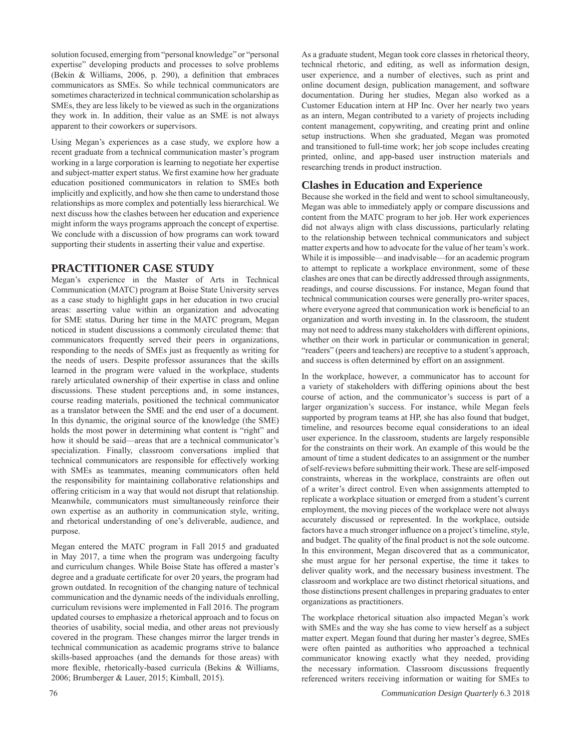solution focused, emerging from "personal knowledge" or "personal expertise" developing products and processes to solve problems (Bekin & Williams, 2006, p. 290), a definition that embraces communicators as SMEs. So while technical communicators are sometimes characterized in technical communication scholarship as SMEs, they are less likely to be viewed as such in the organizations they work in. In addition, their value as an SME is not always apparent to their coworkers or supervisors.

Using Megan's experiences as a case study, we explore how a recent graduate from a technical communication master's program working in a large corporation is learning to negotiate her expertise and subject-matter expert status. We first examine how her graduate education positioned communicators in relation to SMEs both implicitly and explicitly, and how she then came to understand those relationships as more complex and potentially less hierarchical. We next discuss how the clashes between her education and experience might inform the ways programs approach the concept of expertise. We conclude with a discussion of how programs can work toward supporting their students in asserting their value and expertise.

#### **PRACTITIONER CASE STUDY**

Megan's experience in the Master of Arts in Technical Communication (MATC) program at Boise State University serves as a case study to highlight gaps in her education in two crucial areas: asserting value within an organization and advocating for SME status. During her time in the MATC program, Megan noticed in student discussions a commonly circulated theme: that communicators frequently served their peers in organizations, responding to the needs of SMEs just as frequently as writing for the needs of users. Despite professor assurances that the skills learned in the program were valued in the workplace, students rarely articulated ownership of their expertise in class and online discussions. These student perceptions and, in some instances, course reading materials, positioned the technical communicator as a translator between the SME and the end user of a document. In this dynamic, the original source of the knowledge (the SME) holds the most power in determining what content is "right" and how it should be said—areas that are a technical communicator's specialization. Finally, classroom conversations implied that technical communicators are responsible for effectively working with SMEs as teammates, meaning communicators often held the responsibility for maintaining collaborative relationships and offering criticism in a way that would not disrupt that relationship. Meanwhile, communicators must simultaneously reinforce their own expertise as an authority in communication style, writing, and rhetorical understanding of one's deliverable, audience, and purpose.

Megan entered the MATC program in Fall 2015 and graduated in May 2017, a time when the program was undergoing faculty and curriculum changes. While Boise State has offered a master's degree and a graduate certificate for over 20 years, the program had grown outdated. In recognition of the changing nature of technical communication and the dynamic needs of the individuals enrolling, curriculum revisions were implemented in Fall 2016. The program updated courses to emphasize a rhetorical approach and to focus on theories of usability, social media, and other areas not previously covered in the program. These changes mirror the larger trends in technical communication as academic programs strive to balance skills-based approaches (and the demands for those areas) with more flexible, rhetorically-based curricula (Bekins & Williams, 2006; Brumberger & Lauer, 2015; Kimball, 2015).

As a graduate student, Megan took core classes in rhetorical theory, technical rhetoric, and editing, as well as information design, user experience, and a number of electives, such as print and online document design, publication management, and software documentation. During her studies, Megan also worked as a Customer Education intern at HP Inc. Over her nearly two years as an intern, Megan contributed to a variety of projects including content management, copywriting, and creating print and online setup instructions. When she graduated, Megan was promoted and transitioned to full-time work; her job scope includes creating printed, online, and app-based user instruction materials and researching trends in product instruction.

#### **Clashes in Education and Experience**

Because she worked in the field and went to school simultaneously, Megan was able to immediately apply or compare discussions and content from the MATC program to her job. Her work experiences did not always align with class discussions, particularly relating to the relationship between technical communicators and subject matter experts and how to advocate for the value of her team's work. While it is impossible—and inadvisable—for an academic program to attempt to replicate a workplace environment, some of these clashes are ones that can be directly addressed through assignments, readings, and course discussions. For instance, Megan found that technical communication courses were generally pro-writer spaces, where everyone agreed that communication work is beneficial to an organization and worth investing in. In the classroom, the student may not need to address many stakeholders with different opinions, whether on their work in particular or communication in general; "readers" (peers and teachers) are receptive to a student's approach, and success is often determined by effort on an assignment.

In the workplace, however, a communicator has to account for a variety of stakeholders with differing opinions about the best course of action, and the communicator's success is part of a larger organization's success. For instance, while Megan feels supported by program teams at HP, she has also found that budget, timeline, and resources become equal considerations to an ideal user experience. In the classroom, students are largely responsible for the constraints on their work. An example of this would be the amount of time a student dedicates to an assignment or the number of self-reviews before submitting their work. These are self-imposed constraints, whereas in the workplace, constraints are often out of a writer's direct control. Even when assignments attempted to replicate a workplace situation or emerged from a student's current employment, the moving pieces of the workplace were not always accurately discussed or represented. In the workplace, outside factors have a much stronger influence on a project's timeline, style, and budget. The quality of the final product is not the sole outcome. In this environment, Megan discovered that as a communicator, she must argue for her personal expertise, the time it takes to deliver quality work, and the necessary business investment. The classroom and workplace are two distinct rhetorical situations, and those distinctions present challenges in preparing graduates to enter organizations as practitioners.

The workplace rhetorical situation also impacted Megan's work with SMEs and the way she has come to view herself as a subject matter expert. Megan found that during her master's degree, SMEs were often painted as authorities who approached a technical communicator knowing exactly what they needed, providing the necessary information. Classroom discussions frequently referenced writers receiving information or waiting for SMEs to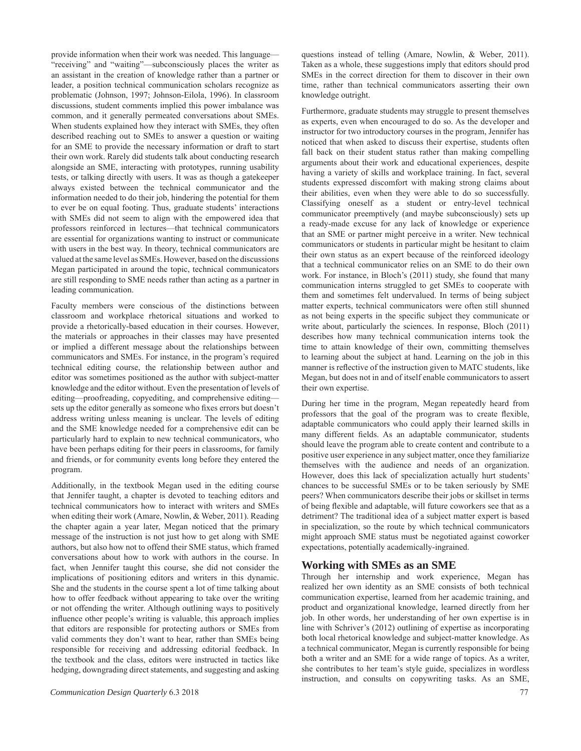provide information when their work was needed. This language— "receiving" and "waiting"—subconsciously places the writer as an assistant in the creation of knowledge rather than a partner or leader, a position technical communication scholars recognize as problematic (Johnson, 1997; Johnson-Eilola, 1996). In classroom discussions, student comments implied this power imbalance was common, and it generally permeated conversations about SMEs. When students explained how they interact with SMEs, they often described reaching out to SMEs to answer a question or waiting for an SME to provide the necessary information or draft to start their own work. Rarely did students talk about conducting research alongside an SME, interacting with prototypes, running usability tests, or talking directly with users. It was as though a gatekeeper always existed between the technical communicator and the information needed to do their job, hindering the potential for them to ever be on equal footing. Thus, graduate students' interactions with SMEs did not seem to align with the empowered idea that professors reinforced in lectures—that technical communicators are essential for organizations wanting to instruct or communicate with users in the best way. In theory, technical communicators are valued at the same level as SMEs. However, based on the discussions Megan participated in around the topic, technical communicators are still responding to SME needs rather than acting as a partner in leading communication.

Faculty members were conscious of the distinctions between classroom and workplace rhetorical situations and worked to provide a rhetorically-based education in their courses. However, the materials or approaches in their classes may have presented or implied a different message about the relationships between communicators and SMEs. For instance, in the program's required technical editing course, the relationship between author and editor was sometimes positioned as the author with subject-matter knowledge and the editor without. Even the presentation of levels of editing—proofreading, copyediting, and comprehensive editing sets up the editor generally as someone who fixes errors but doesn't address writing unless meaning is unclear. The levels of editing and the SME knowledge needed for a comprehensive edit can be particularly hard to explain to new technical communicators, who have been perhaps editing for their peers in classrooms, for family and friends, or for community events long before they entered the program.

Additionally, in the textbook Megan used in the editing course that Jennifer taught, a chapter is devoted to teaching editors and technical communicators how to interact with writers and SMEs when editing their work (Amare, Nowlin, & Weber, 2011). Reading the chapter again a year later, Megan noticed that the primary message of the instruction is not just how to get along with SME authors, but also how not to offend their SME status, which framed conversations about how to work with authors in the course. In fact, when Jennifer taught this course, she did not consider the implications of positioning editors and writers in this dynamic. She and the students in the course spent a lot of time talking about how to offer feedback without appearing to take over the writing or not offending the writer. Although outlining ways to positively influence other people's writing is valuable, this approach implies that editors are responsible for protecting authors or SMEs from valid comments they don't want to hear, rather than SMEs being responsible for receiving and addressing editorial feedback. In the textbook and the class, editors were instructed in tactics like hedging, downgrading direct statements, and suggesting and asking

questions instead of telling (Amare, Nowlin, & Weber, 2011). Taken as a whole, these suggestions imply that editors should prod SMEs in the correct direction for them to discover in their own time, rather than technical communicators asserting their own knowledge outright.

Furthermore, graduate students may struggle to present themselves as experts, even when encouraged to do so. As the developer and instructor for two introductory courses in the program, Jennifer has noticed that when asked to discuss their expertise, students often fall back on their student status rather than making compelling arguments about their work and educational experiences, despite having a variety of skills and workplace training. In fact, several students expressed discomfort with making strong claims about their abilities, even when they were able to do so successfully. Classifying oneself as a student or entry-level technical communicator preemptively (and maybe subconsciously) sets up a ready-made excuse for any lack of knowledge or experience that an SME or partner might perceive in a writer. New technical communicators or students in particular might be hesitant to claim their own status as an expert because of the reinforced ideology that a technical communicator relies on an SME to do their own work. For instance, in Bloch's (2011) study, she found that many communication interns struggled to get SMEs to cooperate with them and sometimes felt undervalued. In terms of being subject matter experts, technical communicators were often still shunned as not being experts in the specific subject they communicate or write about, particularly the sciences. In response, Bloch (2011) describes how many technical communication interns took the time to attain knowledge of their own, committing themselves to learning about the subject at hand. Learning on the job in this manner is reflective of the instruction given to MATC students, like Megan, but does not in and of itself enable communicators to assert their own expertise.

During her time in the program, Megan repeatedly heard from professors that the goal of the program was to create flexible, adaptable communicators who could apply their learned skills in many different fields. As an adaptable communicator, students should leave the program able to create content and contribute to a positive user experience in any subject matter, once they familiarize themselves with the audience and needs of an organization. However, does this lack of specialization actually hurt students' chances to be successful SMEs or to be taken seriously by SME peers? When communicators describe their jobs or skillset in terms of being flexible and adaptable, will future coworkers see that as a detriment? The traditional idea of a subject matter expert is based in specialization, so the route by which technical communicators might approach SME status must be negotiated against coworker expectations, potentially academically-ingrained.

#### **Working with SMEs as an SME**

Through her internship and work experience, Megan has realized her own identity as an SME consists of both technical communication expertise, learned from her academic training, and product and organizational knowledge, learned directly from her job. In other words, her understanding of her own expertise is in line with Schriver's (2012) outlining of expertise as incorporating both local rhetorical knowledge and subject-matter knowledge. As a technical communicator, Megan is currently responsible for being both a writer and an SME for a wide range of topics. As a writer, she contributes to her team's style guide, specializes in wordless instruction, and consults on copywriting tasks. As an SME,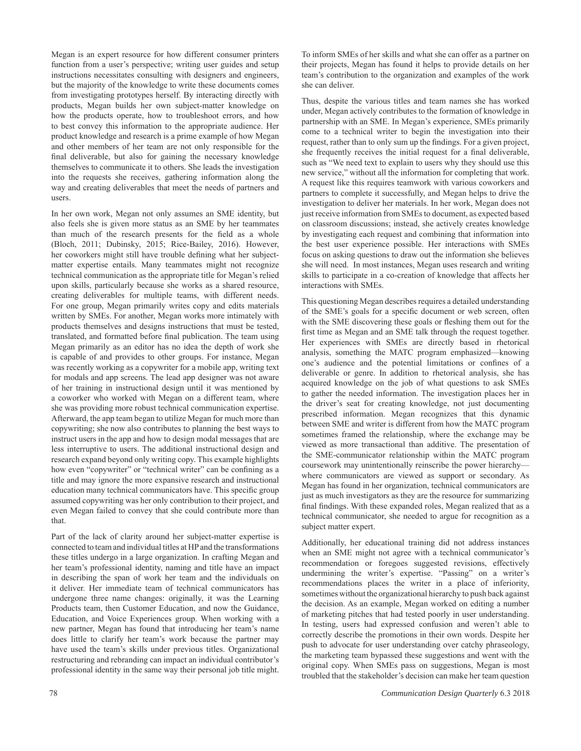Megan is an expert resource for how different consumer printers function from a user's perspective; writing user guides and setup instructions necessitates consulting with designers and engineers, but the majority of the knowledge to write these documents comes from investigating prototypes herself. By interacting directly with products, Megan builds her own subject-matter knowledge on how the products operate, how to troubleshoot errors, and how to best convey this information to the appropriate audience. Her product knowledge and research is a prime example of how Megan and other members of her team are not only responsible for the final deliverable, but also for gaining the necessary knowledge themselves to communicate it to others. She leads the investigation into the requests she receives, gathering information along the way and creating deliverables that meet the needs of partners and users.

In her own work, Megan not only assumes an SME identity, but also feels she is given more status as an SME by her teammates than much of the research presents for the field as a whole (Bloch, 2011; Dubinsky, 2015; Rice-Bailey, 2016). However, her coworkers might still have trouble defining what her subjectmatter expertise entails. Many teammates might not recognize technical communication as the appropriate title for Megan's relied upon skills, particularly because she works as a shared resource, creating deliverables for multiple teams, with different needs. For one group, Megan primarily writes copy and edits materials written by SMEs. For another, Megan works more intimately with products themselves and designs instructions that must be tested, translated, and formatted before final publication. The team using Megan primarily as an editor has no idea the depth of work she is capable of and provides to other groups. For instance, Megan was recently working as a copywriter for a mobile app, writing text for modals and app screens. The lead app designer was not aware of her training in instructional design until it was mentioned by a coworker who worked with Megan on a different team, where she was providing more robust technical communication expertise. Afterward, the app team began to utilize Megan for much more than copywriting; she now also contributes to planning the best ways to instruct users in the app and how to design modal messages that are less interruptive to users. The additional instructional design and research expand beyond only writing copy. This example highlights how even "copywriter" or "technical writer" can be confining as a title and may ignore the more expansive research and instructional education many technical communicators have. This specific group assumed copywriting was her only contribution to their project, and even Megan failed to convey that she could contribute more than that.

Part of the lack of clarity around her subject-matter expertise is connected to team and individual titles at HP and the transformations these titles undergo in a large organization. In crafting Megan and her team's professional identity, naming and title have an impact in describing the span of work her team and the individuals on it deliver. Her immediate team of technical communicators has undergone three name changes: originally, it was the Learning Products team, then Customer Education, and now the Guidance, Education, and Voice Experiences group. When working with a new partner, Megan has found that introducing her team's name does little to clarify her team's work because the partner may have used the team's skills under previous titles. Organizational restructuring and rebranding can impact an individual contributor's professional identity in the same way their personal job title might.

To inform SMEs of her skills and what she can offer as a partner on their projects, Megan has found it helps to provide details on her team's contribution to the organization and examples of the work she can deliver.

Thus, despite the various titles and team names she has worked under, Megan actively contributes to the formation of knowledge in partnership with an SME. In Megan's experience, SMEs primarily come to a technical writer to begin the investigation into their request, rather than to only sum up the findings. For a given project, she frequently receives the initial request for a final deliverable, such as "We need text to explain to users why they should use this new service," without all the information for completing that work. A request like this requires teamwork with various coworkers and partners to complete it successfully, and Megan helps to drive the investigation to deliver her materials. In her work, Megan does not just receive information from SMEs to document, as expected based on classroom discussions; instead, she actively creates knowledge by investigating each request and combining that information into the best user experience possible. Her interactions with SMEs focus on asking questions to draw out the information she believes she will need. In most instances, Megan uses research and writing skills to participate in a co-creation of knowledge that affects her interactions with SMEs.

This questioning Megan describes requires a detailed understanding of the SME's goals for a specific document or web screen, often with the SME discovering these goals or fleshing them out for the first time as Megan and an SME talk through the request together. Her experiences with SMEs are directly based in rhetorical analysis, something the MATC program emphasized—knowing one's audience and the potential limitations or confines of a deliverable or genre. In addition to rhetorical analysis, she has acquired knowledge on the job of what questions to ask SMEs to gather the needed information. The investigation places her in the driver's seat for creating knowledge, not just documenting prescribed information. Megan recognizes that this dynamic between SME and writer is different from how the MATC program sometimes framed the relationship, where the exchange may be viewed as more transactional than additive. The presentation of the SME-communicator relationship within the MATC program coursework may unintentionally reinscribe the power hierarchy where communicators are viewed as support or secondary. As Megan has found in her organization, technical communicators are just as much investigators as they are the resource for summarizing final findings. With these expanded roles, Megan realized that as a technical communicator, she needed to argue for recognition as a subject matter expert.

Additionally, her educational training did not address instances when an SME might not agree with a technical communicator's recommendation or foregoes suggested revisions, effectively undermining the writer's expertise. "Passing" on a writer's recommendations places the writer in a place of inferiority, sometimes without the organizational hierarchy to push back against the decision. As an example, Megan worked on editing a number of marketing pitches that had tested poorly in user understanding. In testing, users had expressed confusion and weren't able to correctly describe the promotions in their own words. Despite her push to advocate for user understanding over catchy phraseology, the marketing team bypassed these suggestions and went with the original copy. When SMEs pass on suggestions, Megan is most troubled that the stakeholder's decision can make her team question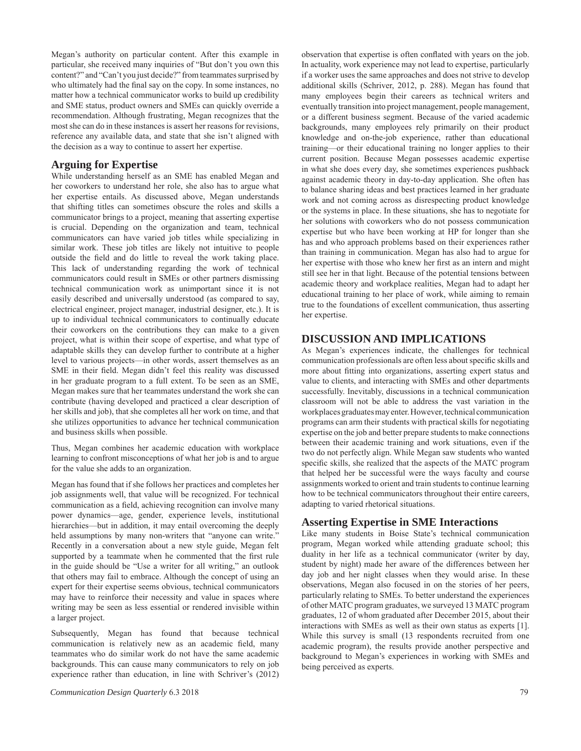Megan's authority on particular content. After this example in particular, she received many inquiries of "But don't you own this content?" and "Can't you just decide?" from teammates surprised by who ultimately had the final say on the copy. In some instances, no matter how a technical communicator works to build up credibility and SME status, product owners and SMEs can quickly override a recommendation. Although frustrating, Megan recognizes that the most she can do in these instances is assert her reasons for revisions, reference any available data, and state that she isn't aligned with the decision as a way to continue to assert her expertise.

## **Arguing for Expertise**

While understanding herself as an SME has enabled Megan and her coworkers to understand her role, she also has to argue what her expertise entails. As discussed above, Megan understands that shifting titles can sometimes obscure the roles and skills a communicator brings to a project, meaning that asserting expertise is crucial. Depending on the organization and team, technical communicators can have varied job titles while specializing in similar work. These job titles are likely not intuitive to people outside the field and do little to reveal the work taking place. This lack of understanding regarding the work of technical communicators could result in SMEs or other partners dismissing technical communication work as unimportant since it is not easily described and universally understood (as compared to say, electrical engineer, project manager, industrial designer, etc.). It is up to individual technical communicators to continually educate their coworkers on the contributions they can make to a given project, what is within their scope of expertise, and what type of adaptable skills they can develop further to contribute at a higher level to various projects—in other words, assert themselves as an SME in their field. Megan didn't feel this reality was discussed in her graduate program to a full extent. To be seen as an SME, Megan makes sure that her teammates understand the work she can contribute (having developed and practiced a clear description of her skills and job), that she completes all her work on time, and that she utilizes opportunities to advance her technical communication and business skills when possible.

Thus, Megan combines her academic education with workplace learning to confront misconceptions of what her job is and to argue for the value she adds to an organization.

Megan has found that if she follows her practices and completes her job assignments well, that value will be recognized. For technical communication as a field, achieving recognition can involve many power dynamics—age, gender, experience levels, institutional hierarchies—but in addition, it may entail overcoming the deeply held assumptions by many non-writers that "anyone can write." Recently in a conversation about a new style guide, Megan felt supported by a teammate when he commented that the first rule in the guide should be "Use a writer for all writing," an outlook that others may fail to embrace. Although the concept of using an expert for their expertise seems obvious, technical communicators may have to reinforce their necessity and value in spaces where writing may be seen as less essential or rendered invisible within a larger project.

Subsequently, Megan has found that because technical communication is relatively new as an academic field, many teammates who do similar work do not have the same academic backgrounds. This can cause many communicators to rely on job experience rather than education, in line with Schriver's (2012)

observation that expertise is often conflated with years on the job. In actuality, work experience may not lead to expertise, particularly if a worker uses the same approaches and does not strive to develop additional skills (Schriver, 2012, p. 288). Megan has found that many employees begin their careers as technical writers and eventually transition into project management, people management, or a different business segment. Because of the varied academic backgrounds, many employees rely primarily on their product knowledge and on-the-job experience, rather than educational training—or their educational training no longer applies to their current position. Because Megan possesses academic expertise in what she does every day, she sometimes experiences pushback against academic theory in day-to-day application. She often has to balance sharing ideas and best practices learned in her graduate work and not coming across as disrespecting product knowledge or the systems in place. In these situations, she has to negotiate for her solutions with coworkers who do not possess communication expertise but who have been working at HP for longer than she has and who approach problems based on their experiences rather than training in communication. Megan has also had to argue for her expertise with those who knew her first as an intern and might still see her in that light. Because of the potential tensions between academic theory and workplace realities, Megan had to adapt her educational training to her place of work, while aiming to remain true to the foundations of excellent communication, thus asserting her expertise.

# **DISCUSSION AND IMPLICATIONS**

As Megan's experiences indicate, the challenges for technical communication professionals are often less about specific skills and more about fitting into organizations, asserting expert status and value to clients, and interacting with SMEs and other departments successfully. Inevitably, discussions in a technical communication classroom will not be able to address the vast variation in the workplaces graduates may enter. However, technical communication programs can arm their students with practical skills for negotiating expertise on the job and better prepare students to make connections between their academic training and work situations, even if the two do not perfectly align. While Megan saw students who wanted specific skills, she realized that the aspects of the MATC program that helped her be successful were the ways faculty and course assignments worked to orient and train students to continue learning how to be technical communicators throughout their entire careers, adapting to varied rhetorical situations.

# **Asserting Expertise in SME Interactions**

Like many students in Boise State's technical communication program, Megan worked while attending graduate school; this duality in her life as a technical communicator (writer by day, student by night) made her aware of the differences between her day job and her night classes when they would arise. In these observations, Megan also focused in on the stories of her peers, particularly relating to SMEs. To better understand the experiences of other MATC program graduates, we surveyed 13 MATC program graduates, 12 of whom graduated after December 2015, about their interactions with SMEs as well as their own status as experts [1]. While this survey is small (13 respondents recruited from one academic program), the results provide another perspective and background to Megan's experiences in working with SMEs and being perceived as experts.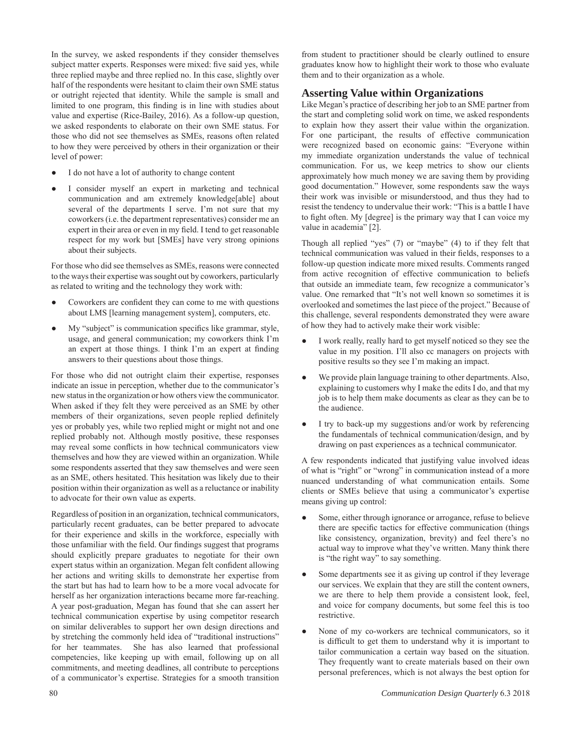In the survey, we asked respondents if they consider themselves subject matter experts. Responses were mixed: five said yes, while three replied maybe and three replied no. In this case, slightly over half of the respondents were hesitant to claim their own SME status or outright rejected that identity. While the sample is small and limited to one program, this finding is in line with studies about value and expertise (Rice-Bailey, 2016). As a follow-up question, we asked respondents to elaborate on their own SME status. For those who did not see themselves as SMEs, reasons often related to how they were perceived by others in their organization or their level of power:

- I do not have a lot of authority to change content
- I consider myself an expert in marketing and technical communication and am extremely knowledge[able] about several of the departments I serve. I'm not sure that my coworkers (i.e. the department representatives) consider me an expert in their area or even in my field. I tend to get reasonable respect for my work but [SMEs] have very strong opinions about their subjects.

For those who did see themselves as SMEs, reasons were connected to the ways their expertise was sought out by coworkers, particularly as related to writing and the technology they work with:

- Coworkers are confident they can come to me with questions about LMS [learning management system], computers, etc.
- My "subject" is communication specifics like grammar, style, usage, and general communication; my coworkers think I'm an expert at those things. I think I'm an expert at finding answers to their questions about those things.

For those who did not outright claim their expertise, responses indicate an issue in perception, whether due to the communicator's new status in the organization or how others view the communicator. When asked if they felt they were perceived as an SME by other members of their organizations, seven people replied definitely yes or probably yes, while two replied might or might not and one replied probably not. Although mostly positive, these responses may reveal some conflicts in how technical communicators view themselves and how they are viewed within an organization. While some respondents asserted that they saw themselves and were seen as an SME, others hesitated. This hesitation was likely due to their position within their organization as well as a reluctance or inability to advocate for their own value as experts.

Regardless of position in an organization, technical communicators, particularly recent graduates, can be better prepared to advocate for their experience and skills in the workforce, especially with those unfamiliar with the field. Our findings suggest that programs should explicitly prepare graduates to negotiate for their own expert status within an organization. Megan felt confident allowing her actions and writing skills to demonstrate her expertise from the start but has had to learn how to be a more vocal advocate for herself as her organization interactions became more far-reaching. A year post-graduation, Megan has found that she can assert her technical communication expertise by using competitor research on similar deliverables to support her own design directions and by stretching the commonly held idea of "traditional instructions" for her teammates. She has also learned that professional competencies, like keeping up with email, following up on all commitments, and meeting deadlines, all contribute to perceptions of a communicator's expertise. Strategies for a smooth transition

from student to practitioner should be clearly outlined to ensure graduates know how to highlight their work to those who evaluate them and to their organization as a whole.

# **Asserting Value within Organizations**

Like Megan's practice of describing her job to an SME partner from the start and completing solid work on time, we asked respondents to explain how they assert their value within the organization. For one participant, the results of effective communication were recognized based on economic gains: "Everyone within my immediate organization understands the value of technical communication. For us, we keep metrics to show our clients approximately how much money we are saving them by providing good documentation." However, some respondents saw the ways their work was invisible or misunderstood, and thus they had to resist the tendency to undervalue their work: "This is a battle I have to fight often. My [degree] is the primary way that I can voice my value in academia" [2].

Though all replied "yes" (7) or "maybe" (4) to if they felt that technical communication was valued in their fields, responses to a follow-up question indicate more mixed results. Comments ranged from active recognition of effective communication to beliefs that outside an immediate team, few recognize a communicator's value. One remarked that "It's not well known so sometimes it is overlooked and sometimes the last piece of the project." Because of this challenge, several respondents demonstrated they were aware of how they had to actively make their work visible:

- I work really, really hard to get myself noticed so they see the value in my position. I'll also cc managers on projects with positive results so they see I'm making an impact.
- We provide plain language training to other departments. Also, explaining to customers why I make the edits I do, and that my job is to help them make documents as clear as they can be to the audience.
- I try to back-up my suggestions and/or work by referencing the fundamentals of technical communication/design, and by drawing on past experiences as a technical communicator.

A few respondents indicated that justifying value involved ideas of what is "right" or "wrong" in communication instead of a more nuanced understanding of what communication entails. Some clients or SMEs believe that using a communicator's expertise means giving up control:

- Some, either through ignorance or arrogance, refuse to believe there are specific tactics for effective communication (things like consistency, organization, brevity) and feel there's no actual way to improve what they've written. Many think there is "the right way" to say something.
- Some departments see it as giving up control if they leverage our services. We explain that they are still the content owners, we are there to help them provide a consistent look, feel, and voice for company documents, but some feel this is too restrictive.
- None of my co-workers are technical communicators, so it is difficult to get them to understand why it is important to tailor communication a certain way based on the situation. They frequently want to create materials based on their own personal preferences, which is not always the best option for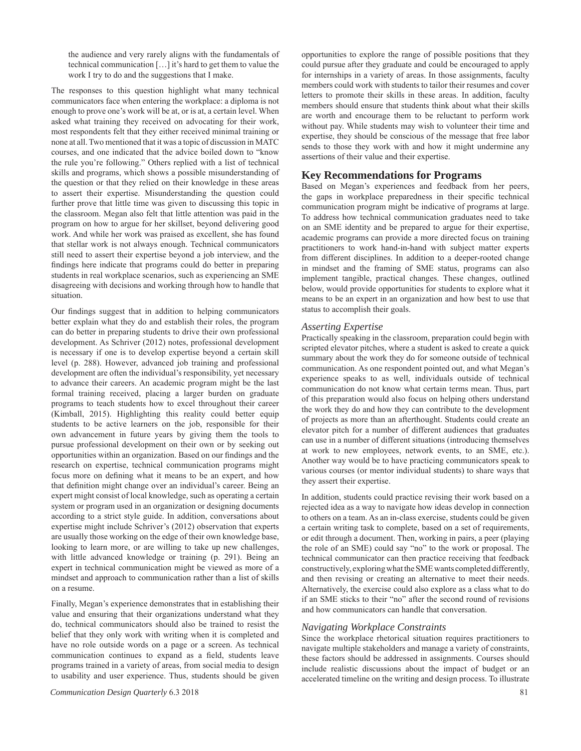the audience and very rarely aligns with the fundamentals of technical communication […] it's hard to get them to value the work I try to do and the suggestions that I make.

The responses to this question highlight what many technical communicators face when entering the workplace: a diploma is not enough to prove one's work will be at, or is at, a certain level. When asked what training they received on advocating for their work, most respondents felt that they either received minimal training or none at all. Two mentioned that it was a topic of discussion in MATC courses, and one indicated that the advice boiled down to "know the rule you're following." Others replied with a list of technical skills and programs, which shows a possible misunderstanding of the question or that they relied on their knowledge in these areas to assert their expertise. Misunderstanding the question could further prove that little time was given to discussing this topic in the classroom. Megan also felt that little attention was paid in the program on how to argue for her skillset, beyond delivering good work. And while her work was praised as excellent, she has found that stellar work is not always enough. Technical communicators still need to assert their expertise beyond a job interview, and the findings here indicate that programs could do better in preparing students in real workplace scenarios, such as experiencing an SME disagreeing with decisions and working through how to handle that situation.

Our findings suggest that in addition to helping communicators better explain what they do and establish their roles, the program can do better in preparing students to drive their own professional development. As Schriver (2012) notes, professional development is necessary if one is to develop expertise beyond a certain skill level (p. 288). However, advanced job training and professional development are often the individual's responsibility, yet necessary to advance their careers. An academic program might be the last formal training received, placing a larger burden on graduate programs to teach students how to excel throughout their career (Kimball, 2015). Highlighting this reality could better equip students to be active learners on the job, responsible for their own advancement in future years by giving them the tools to pursue professional development on their own or by seeking out opportunities within an organization. Based on our findings and the research on expertise, technical communication programs might focus more on defining what it means to be an expert, and how that definition might change over an individual's career. Being an expert might consist of local knowledge, such as operating a certain system or program used in an organization or designing documents according to a strict style guide. In addition, conversations about expertise might include Schriver's (2012) observation that experts are usually those working on the edge of their own knowledge base, looking to learn more, or are willing to take up new challenges, with little advanced knowledge or training (p. 291). Being an expert in technical communication might be viewed as more of a mindset and approach to communication rather than a list of skills on a resume.

Finally, Megan's experience demonstrates that in establishing their value and ensuring that their organizations understand what they do, technical communicators should also be trained to resist the belief that they only work with writing when it is completed and have no role outside words on a page or a screen. As technical communication continues to expand as a field, students leave programs trained in a variety of areas, from social media to design to usability and user experience. Thus, students should be given

*Communication Design Quarterly* 6.3 2018 81

opportunities to explore the range of possible positions that they could pursue after they graduate and could be encouraged to apply for internships in a variety of areas. In those assignments, faculty members could work with students to tailor their resumes and cover letters to promote their skills in these areas. In addition, faculty members should ensure that students think about what their skills are worth and encourage them to be reluctant to perform work without pay. While students may wish to volunteer their time and expertise, they should be conscious of the message that free labor sends to those they work with and how it might undermine any assertions of their value and their expertise.

#### **Key Recommendations for Programs**

Based on Megan's experiences and feedback from her peers, the gaps in workplace preparedness in their specific technical communication program might be indicative of programs at large. To address how technical communication graduates need to take on an SME identity and be prepared to argue for their expertise, academic programs can provide a more directed focus on training practitioners to work hand-in-hand with subject matter experts from different disciplines. In addition to a deeper-rooted change in mindset and the framing of SME status, programs can also implement tangible, practical changes. These changes, outlined below, would provide opportunities for students to explore what it means to be an expert in an organization and how best to use that status to accomplish their goals.

#### *Asserting Expertise*

Practically speaking in the classroom, preparation could begin with scripted elevator pitches, where a student is asked to create a quick summary about the work they do for someone outside of technical communication. As one respondent pointed out, and what Megan's experience speaks to as well, individuals outside of technical communication do not know what certain terms mean. Thus, part of this preparation would also focus on helping others understand the work they do and how they can contribute to the development of projects as more than an afterthought. Students could create an elevator pitch for a number of different audiences that graduates can use in a number of different situations (introducing themselves at work to new employees, network events, to an SME, etc.). Another way would be to have practicing communicators speak to various courses (or mentor individual students) to share ways that they assert their expertise.

In addition, students could practice revising their work based on a rejected idea as a way to navigate how ideas develop in connection to others on a team. As an in-class exercise, students could be given a certain writing task to complete, based on a set of requirements, or edit through a document. Then, working in pairs, a peer (playing the role of an SME) could say "no" to the work or proposal. The technical communicator can then practice receiving that feedback constructively, exploring what the SME wants completed differently, and then revising or creating an alternative to meet their needs. Alternatively, the exercise could also explore as a class what to do if an SME sticks to their "no" after the second round of revisions and how communicators can handle that conversation.

#### *Navigating Workplace Constraints*

Since the workplace rhetorical situation requires practitioners to navigate multiple stakeholders and manage a variety of constraints, these factors should be addressed in assignments. Courses should include realistic discussions about the impact of budget or an accelerated timeline on the writing and design process. To illustrate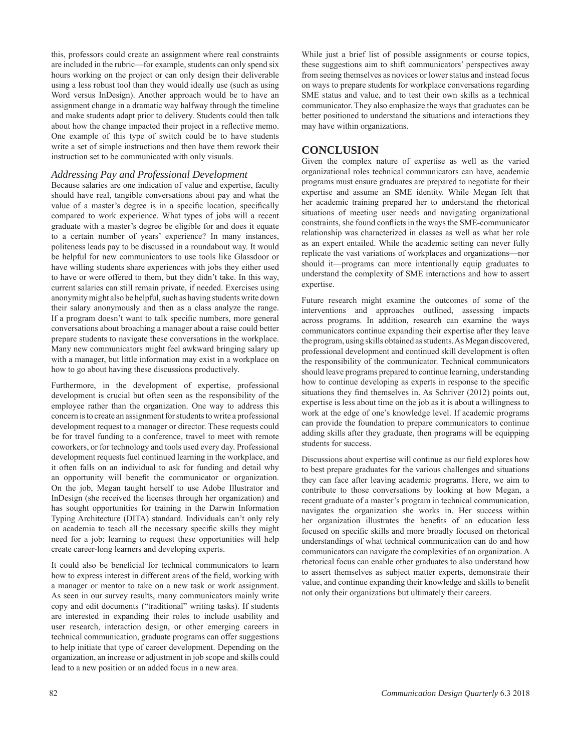this, professors could create an assignment where real constraints are included in the rubric—for example, students can only spend six hours working on the project or can only design their deliverable using a less robust tool than they would ideally use (such as using Word versus InDesign). Another approach would be to have an assignment change in a dramatic way halfway through the timeline and make students adapt prior to delivery. Students could then talk about how the change impacted their project in a reflective memo. One example of this type of switch could be to have students write a set of simple instructions and then have them rework their instruction set to be communicated with only visuals.

#### *Addressing Pay and Professional Development*

Because salaries are one indication of value and expertise, faculty should have real, tangible conversations about pay and what the value of a master's degree is in a specific location, specifically compared to work experience. What types of jobs will a recent graduate with a master's degree be eligible for and does it equate to a certain number of years' experience? In many instances, politeness leads pay to be discussed in a roundabout way. It would be helpful for new communicators to use tools like Glassdoor or have willing students share experiences with jobs they either used to have or were offered to them, but they didn't take. In this way, current salaries can still remain private, if needed. Exercises using anonymity might also be helpful, such as having students write down their salary anonymously and then as a class analyze the range. If a program doesn't want to talk specific numbers, more general conversations about broaching a manager about a raise could better prepare students to navigate these conversations in the workplace. Many new communicators might feel awkward bringing salary up with a manager, but little information may exist in a workplace on how to go about having these discussions productively.

Furthermore, in the development of expertise, professional development is crucial but often seen as the responsibility of the employee rather than the organization. One way to address this concern is to create an assignment for students to write a professional development request to a manager or director. These requests could be for travel funding to a conference, travel to meet with remote coworkers, or for technology and tools used every day. Professional development requests fuel continued learning in the workplace, and it often falls on an individual to ask for funding and detail why an opportunity will benefit the communicator or organization. On the job, Megan taught herself to use Adobe Illustrator and InDesign (she received the licenses through her organization) and has sought opportunities for training in the Darwin Information Typing Architecture (DITA) standard. Individuals can't only rely on academia to teach all the necessary specific skills they might need for a job; learning to request these opportunities will help create career-long learners and developing experts.

It could also be beneficial for technical communicators to learn how to express interest in different areas of the field, working with a manager or mentor to take on a new task or work assignment. As seen in our survey results, many communicators mainly write copy and edit documents ("traditional" writing tasks). If students are interested in expanding their roles to include usability and user research, interaction design, or other emerging careers in technical communication, graduate programs can offer suggestions to help initiate that type of career development. Depending on the organization, an increase or adjustment in job scope and skills could lead to a new position or an added focus in a new area.

While just a brief list of possible assignments or course topics, these suggestions aim to shift communicators' perspectives away from seeing themselves as novices or lower status and instead focus on ways to prepare students for workplace conversations regarding SME status and value, and to test their own skills as a technical communicator. They also emphasize the ways that graduates can be better positioned to understand the situations and interactions they may have within organizations.

## **CONCLUSION**

Given the complex nature of expertise as well as the varied organizational roles technical communicators can have, academic programs must ensure graduates are prepared to negotiate for their expertise and assume an SME identity. While Megan felt that her academic training prepared her to understand the rhetorical situations of meeting user needs and navigating organizational constraints, she found conflicts in the ways the SME-communicator relationship was characterized in classes as well as what her role as an expert entailed. While the academic setting can never fully replicate the vast variations of workplaces and organizations—nor should it—programs can more intentionally equip graduates to understand the complexity of SME interactions and how to assert expertise.

Future research might examine the outcomes of some of the interventions and approaches outlined, assessing impacts across programs. In addition, research can examine the ways communicators continue expanding their expertise after they leave the program, using skills obtained as students. As Megan discovered, professional development and continued skill development is often the responsibility of the communicator. Technical communicators should leave programs prepared to continue learning, understanding how to continue developing as experts in response to the specific situations they find themselves in. As Schriver (2012) points out, expertise is less about time on the job as it is about a willingness to work at the edge of one's knowledge level. If academic programs can provide the foundation to prepare communicators to continue adding skills after they graduate, then programs will be equipping students for success.

Discussions about expertise will continue as our field explores how to best prepare graduates for the various challenges and situations they can face after leaving academic programs. Here, we aim to contribute to those conversations by looking at how Megan, a recent graduate of a master's program in technical communication, navigates the organization she works in. Her success within her organization illustrates the benefits of an education less focused on specific skills and more broadly focused on rhetorical understandings of what technical communication can do and how communicators can navigate the complexities of an organization. A rhetorical focus can enable other graduates to also understand how to assert themselves as subject matter experts, demonstrate their value, and continue expanding their knowledge and skills to benefit not only their organizations but ultimately their careers.